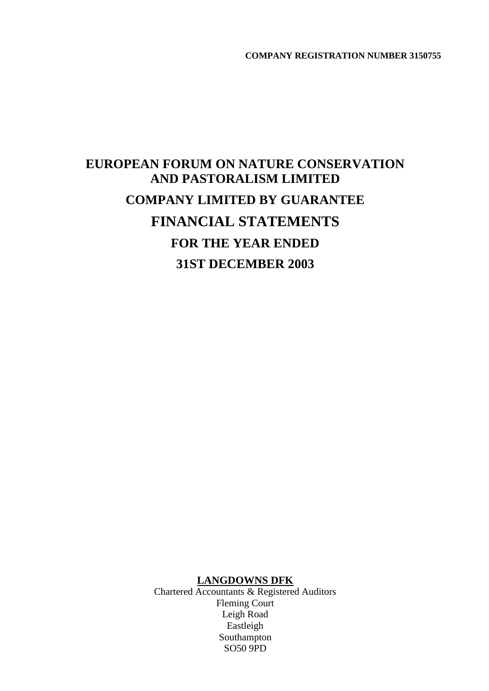# **EUROPEAN FORUM ON NATURE CONSERVATION AND PASTORALISM LIMITED COMPANY LIMITED BY GUARANTEE FINANCIAL STATEMENTS FOR THE YEAR ENDED 31ST DECEMBER 2003**

### **LANGDOWNS DFK**

Chartered Accountants & Registered Auditors Fleming Court Leigh Road Eastleigh Southampton SO50 9PD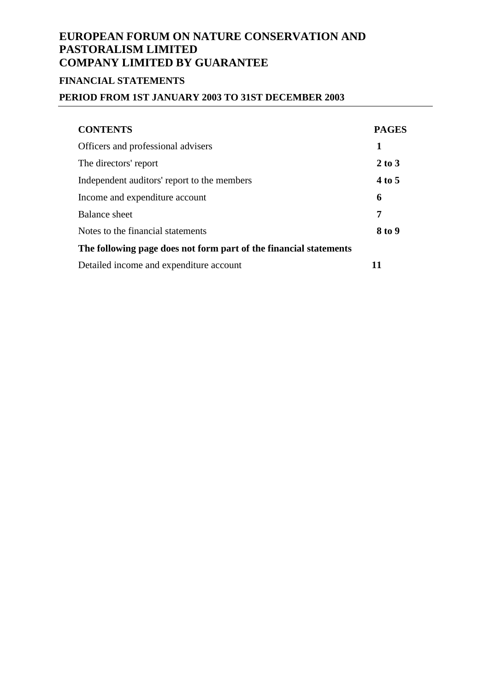## **FINANCIAL STATEMENTS**

## **PERIOD FROM 1ST JANUARY 2003 TO 31ST DECEMBER 2003**

| <b>CONTENTS</b>                                                   | <b>PAGES</b> |
|-------------------------------------------------------------------|--------------|
| Officers and professional advisers                                | 1            |
| The directors' report                                             | $2$ to $3$   |
| Independent auditors' report to the members                       | 4 to 5       |
| Income and expenditure account                                    | 6            |
| <b>Balance</b> sheet                                              | 7            |
| Notes to the financial statements                                 | 8 to 9       |
| The following page does not form part of the financial statements |              |
| Detailed income and expenditure account                           | 11           |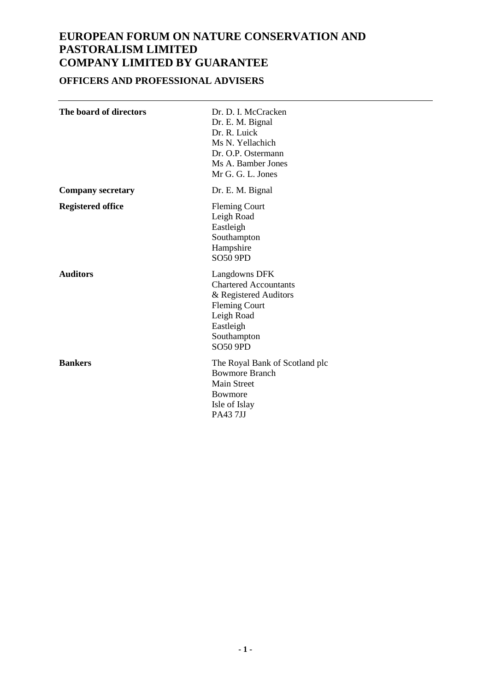## **OFFICERS AND PROFESSIONAL ADVISERS**

| The board of directors   | Dr. D. I. McCracken<br>Dr. E. M. Bignal<br>Dr. R. Luick<br>Ms N. Yellachich<br>Dr. O.P. Ostermann<br>Ms A. Bamber Jones<br>Mr G. G. L. Jones                |
|--------------------------|-------------------------------------------------------------------------------------------------------------------------------------------------------------|
| <b>Company secretary</b> | Dr. E. M. Bignal                                                                                                                                            |
| <b>Registered office</b> | <b>Fleming Court</b><br>Leigh Road<br>Eastleigh<br>Southampton<br>Hampshire<br><b>SO50 9PD</b>                                                              |
| <b>Auditors</b>          | Langdowns DFK<br><b>Chartered Accountants</b><br>& Registered Auditors<br><b>Fleming Court</b><br>Leigh Road<br>Eastleigh<br>Southampton<br><b>SO50 9PD</b> |
| <b>Bankers</b>           | The Royal Bank of Scotland plc<br><b>Bowmore Branch</b><br><b>Main Street</b><br>Bowmore<br>Isle of Islay<br><b>PA43 7JJ</b>                                |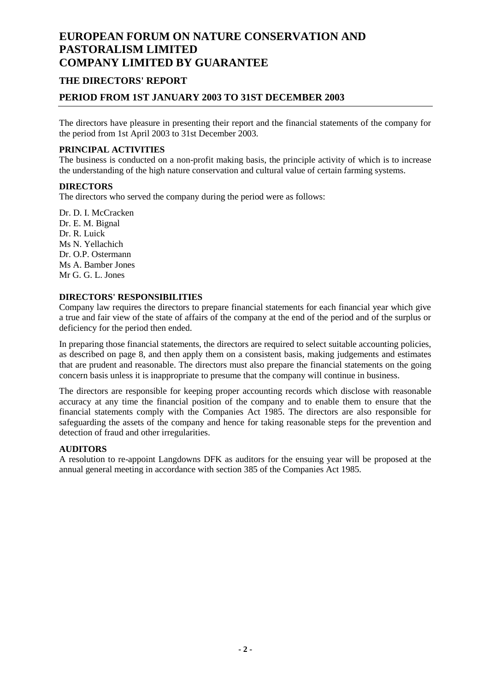### **THE DIRECTORS' REPORT**

### **PERIOD FROM 1ST JANUARY 2003 TO 31ST DECEMBER 2003**

The directors have pleasure in presenting their report and the financial statements of the company for the period from 1st April 2003 to 31st December 2003.

#### **PRINCIPAL ACTIVITIES**

The business is conducted on a non-profit making basis, the principle activity of which is to increase the understanding of the high nature conservation and cultural value of certain farming systems.

### **DIRECTORS**

The directors who served the company during the period were as follows:

Dr. D. I. McCracken Dr. E. M. Bignal Dr. R. Luick Ms N. Yellachich Dr. O.P. Ostermann Ms A. Bamber Jones Mr G. G. L. Jones

#### **DIRECTORS' RESPONSIBILITIES**

Company law requires the directors to prepare financial statements for each financial year which give a true and fair view of the state of affairs of the company at the end of the period and of the surplus or deficiency for the period then ended.

In preparing those financial statements, the directors are required to select suitable accounting policies, as described on page 8, and then apply them on a consistent basis, making judgements and estimates that are prudent and reasonable. The directors must also prepare the financial statements on the going concern basis unless it is inappropriate to presume that the company will continue in business.

The directors are responsible for keeping proper accounting records which disclose with reasonable accuracy at any time the financial position of the company and to enable them to ensure that the financial statements comply with the Companies Act 1985. The directors are also responsible for safeguarding the assets of the company and hence for taking reasonable steps for the prevention and detection of fraud and other irregularities.

#### **AUDITORS**

A resolution to re-appoint Langdowns DFK as auditors for the ensuing year will be proposed at the annual general meeting in accordance with section 385 of the Companies Act 1985.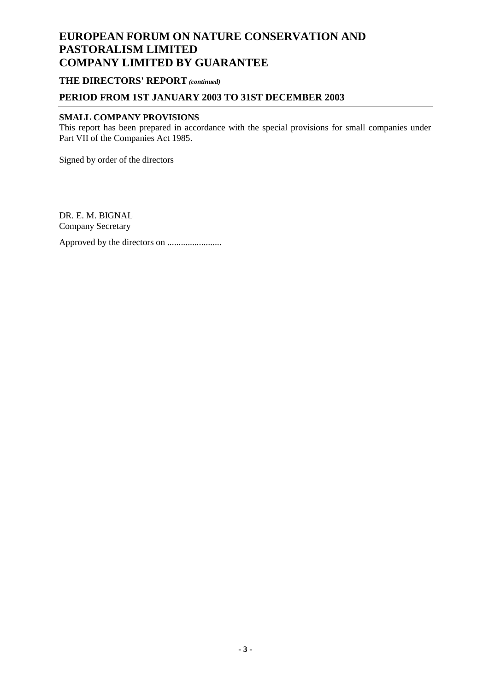### **THE DIRECTORS' REPORT** *(continued)*

### **PERIOD FROM 1ST JANUARY 2003 TO 31ST DECEMBER 2003**

### **SMALL COMPANY PROVISIONS**

This report has been prepared in accordance with the special provisions for small companies under Part VII of the Companies Act 1985.

Signed by order of the directors

DR. E. M. BIGNAL Company Secretary Approved by the directors on ........................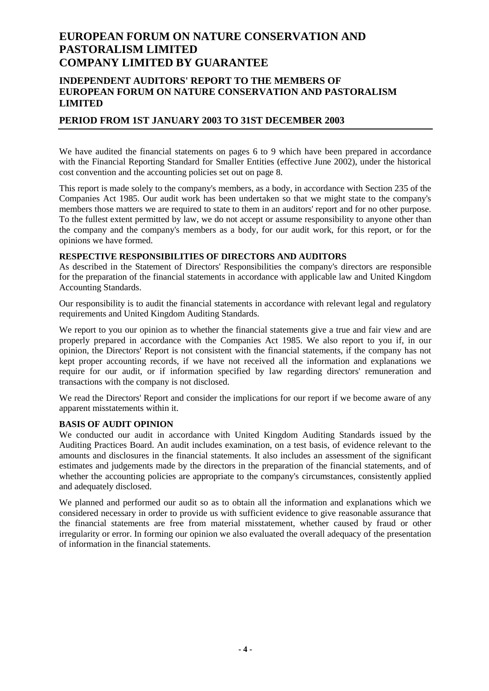### **INDEPENDENT AUDITORS' REPORT TO THE MEMBERS OF EUROPEAN FORUM ON NATURE CONSERVATION AND PASTORALISM LIMITED**

### **PERIOD FROM 1ST JANUARY 2003 TO 31ST DECEMBER 2003**

We have audited the financial statements on pages 6 to 9 which have been prepared in accordance with the Financial Reporting Standard for Smaller Entities (effective June 2002), under the historical cost convention and the accounting policies set out on page 8.

This report is made solely to the company's members, as a body, in accordance with Section 235 of the Companies Act 1985. Our audit work has been undertaken so that we might state to the company's members those matters we are required to state to them in an auditors' report and for no other purpose. To the fullest extent permitted by law, we do not accept or assume responsibility to anyone other than the company and the company's members as a body, for our audit work, for this report, or for the opinions we have formed.

### **RESPECTIVE RESPONSIBILITIES OF DIRECTORS AND AUDITORS**

As described in the Statement of Directors' Responsibilities the company's directors are responsible for the preparation of the financial statements in accordance with applicable law and United Kingdom Accounting Standards.

Our responsibility is to audit the financial statements in accordance with relevant legal and regulatory requirements and United Kingdom Auditing Standards.

We report to you our opinion as to whether the financial statements give a true and fair view and are properly prepared in accordance with the Companies Act 1985. We also report to you if, in our opinion, the Directors' Report is not consistent with the financial statements, if the company has not kept proper accounting records, if we have not received all the information and explanations we require for our audit, or if information specified by law regarding directors' remuneration and transactions with the company is not disclosed.

We read the Directors' Report and consider the implications for our report if we become aware of any apparent misstatements within it.

#### **BASIS OF AUDIT OPINION**

We conducted our audit in accordance with United Kingdom Auditing Standards issued by the Auditing Practices Board. An audit includes examination, on a test basis, of evidence relevant to the amounts and disclosures in the financial statements. It also includes an assessment of the significant estimates and judgements made by the directors in the preparation of the financial statements, and of whether the accounting policies are appropriate to the company's circumstances, consistently applied and adequately disclosed.

We planned and performed our audit so as to obtain all the information and explanations which we considered necessary in order to provide us with sufficient evidence to give reasonable assurance that the financial statements are free from material misstatement, whether caused by fraud or other irregularity or error. In forming our opinion we also evaluated the overall adequacy of the presentation of information in the financial statements.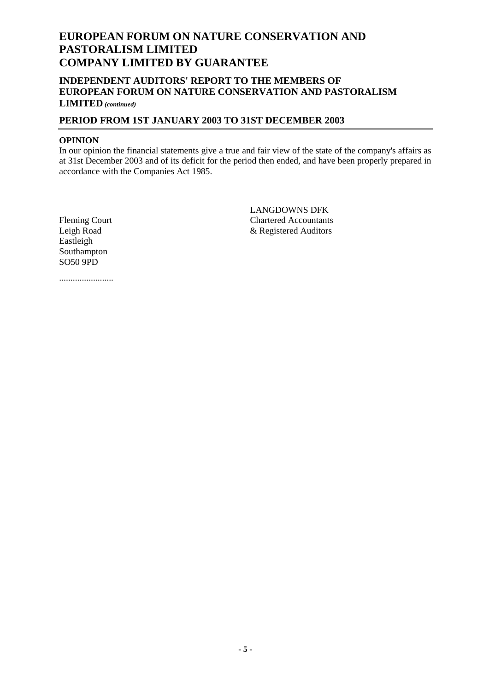### **INDEPENDENT AUDITORS' REPORT TO THE MEMBERS OF EUROPEAN FORUM ON NATURE CONSERVATION AND PASTORALISM LIMITED** *(continued)*

### **PERIOD FROM 1ST JANUARY 2003 TO 31ST DECEMBER 2003**

### **OPINION**

In our opinion the financial statements give a true and fair view of the state of the company's affairs as at 31st December 2003 and of its deficit for the period then ended, and have been properly prepared in accordance with the Companies Act 1985.

Eastleigh Southampton SO50 9PD

LANGDOWNS DFK Fleming Court Chartered Accountants<br>
Leigh Road & Registered Auditors & Registered Auditors

........................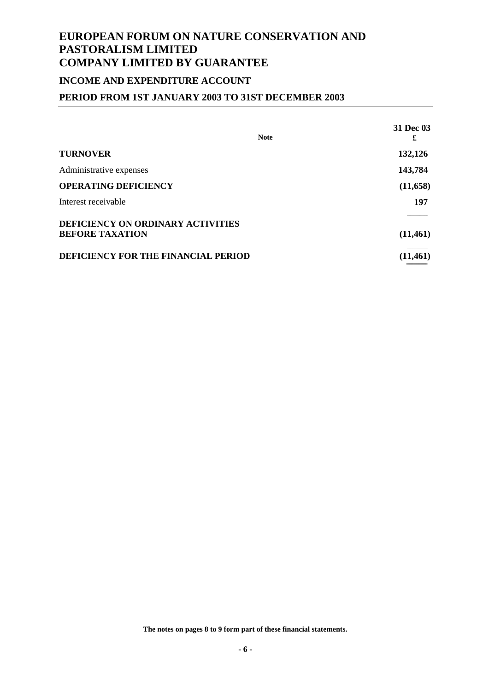## **INCOME AND EXPENDITURE ACCOUNT**

### **PERIOD FROM 1ST JANUARY 2003 TO 31ST DECEMBER 2003**

|                                     | <b>Note</b> | 31 Dec 03<br>£ |
|-------------------------------------|-------------|----------------|
| <b>TURNOVER</b>                     |             | 132,126        |
| Administrative expenses             |             | 143,784        |
| <b>OPERATING DEFICIENCY</b>         |             | (11,658)       |
| Interest receivable                 |             | 197            |
| DEFICIENCY ON ORDINARY ACTIVITIES   |             |                |
| <b>BEFORE TAXATION</b>              |             | (11,461)       |
| DEFICIENCY FOR THE FINANCIAL PERIOD |             | (11,461)       |

==========================

**The notes on pages 8 to 9 form part of these financial statements.**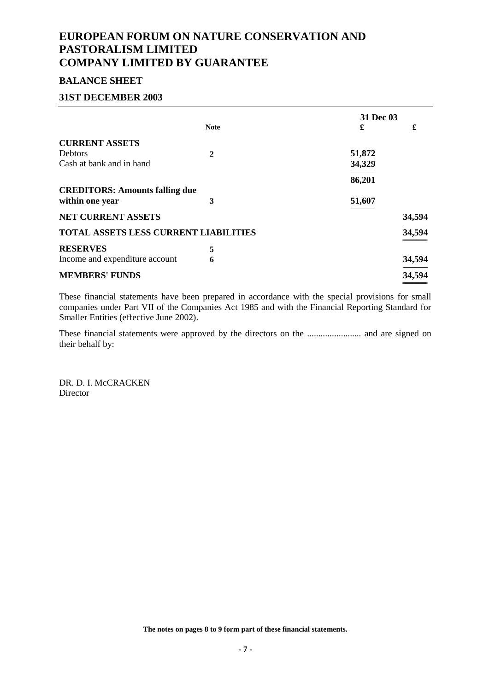### **BALANCE SHEET**

### **31ST DECEMBER 2003**

|                                              |             | 31 Dec 03 |        |
|----------------------------------------------|-------------|-----------|--------|
|                                              | <b>Note</b> | £         | £      |
| <b>CURRENT ASSETS</b>                        |             |           |        |
| <b>Debtors</b>                               | 2           | 51,872    |        |
| Cash at bank and in hand                     |             | 34,329    |        |
|                                              |             | 86,201    |        |
| <b>CREDITORS: Amounts falling due</b>        |             |           |        |
| within one year                              | 3           | 51,607    |        |
| <b>NET CURRENT ASSETS</b>                    |             |           | 34,594 |
| <b>TOTAL ASSETS LESS CURRENT LIABILITIES</b> |             |           | 34,594 |
| <b>RESERVES</b>                              | 5           |           |        |
| Income and expenditure account               | 6           |           | 34,594 |
| <b>MEMBERS' FUNDS</b>                        |             |           | 34,594 |

These financial statements have been prepared in accordance with the special provisions for small companies under Part VII of the Companies Act 1985 and with the Financial Reporting Standard for Smaller Entities (effective June 2002).

===============================

These financial statements were approved by the directors on the ........................ and are signed on their behalf by:

DR. D. I. McCRACKEN Director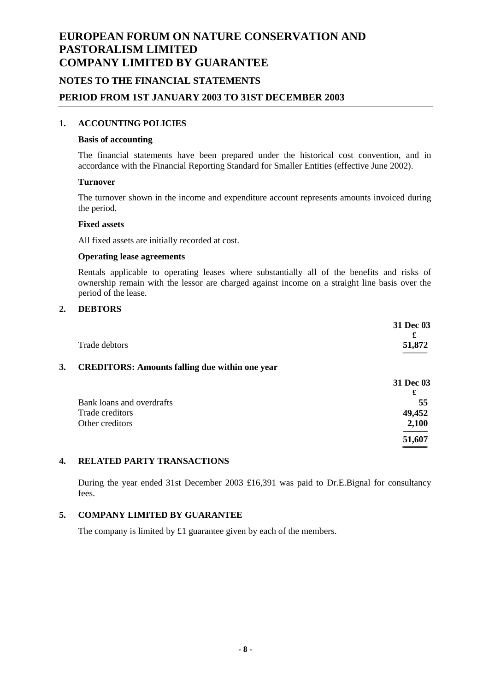### **NOTES TO THE FINANCIAL STATEMENTS**

### **PERIOD FROM 1ST JANUARY 2003 TO 31ST DECEMBER 2003**

#### **1. ACCOUNTING POLICIES**

#### **Basis of accounting**

The financial statements have been prepared under the historical cost convention, and in accordance with the Financial Reporting Standard for Smaller Entities (effective June 2002).

#### **Turnover**

The turnover shown in the income and expenditure account represents amounts invoiced during the period.

#### **Fixed assets**

All fixed assets are initially recorded at cost.

#### **Operating lease agreements**

Rentals applicable to operating leases where substantially all of the benefits and risks of ownership remain with the lessor are charged against income on a straight line basis over the period of the lease.

#### **2. DEBTORS**

|    |                                                       | 31 Dec 03<br>£ |
|----|-------------------------------------------------------|----------------|
|    | Trade debtors                                         | 51,872         |
| 3. | <b>CREDITORS: Amounts falling due within one year</b> |                |
|    |                                                       | 31 Dec 03      |
|    |                                                       | £              |
|    | Bank loans and overdrafts                             | 55             |
|    | Trade creditors                                       | 49,452         |
|    | Other creditors                                       | 2,100          |
|    |                                                       | 51,607         |
|    |                                                       |                |

### **4. RELATED PARTY TRANSACTIONS**

During the year ended 31st December 2003 £16,391 was paid to Dr.E.Bignal for consultancy fees.

#### **5. COMPANY LIMITED BY GUARANTEE**

The company is limited by £1 guarantee given by each of the members.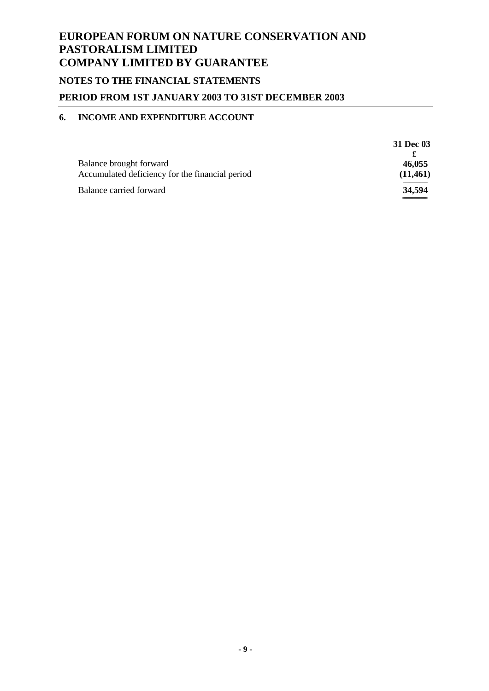## **NOTES TO THE FINANCIAL STATEMENTS**

### **PERIOD FROM 1ST JANUARY 2003 TO 31ST DECEMBER 2003**

### **6. INCOME AND EXPENDITURE ACCOUNT**

|                                                 | 31 Dec 03 |
|-------------------------------------------------|-----------|
|                                                 |           |
| Balance brought forward                         | 46,055    |
| Accumulated deficiency for the financial period | (11,461)  |
| Balance carried forward                         | 34,594    |
|                                                 |           |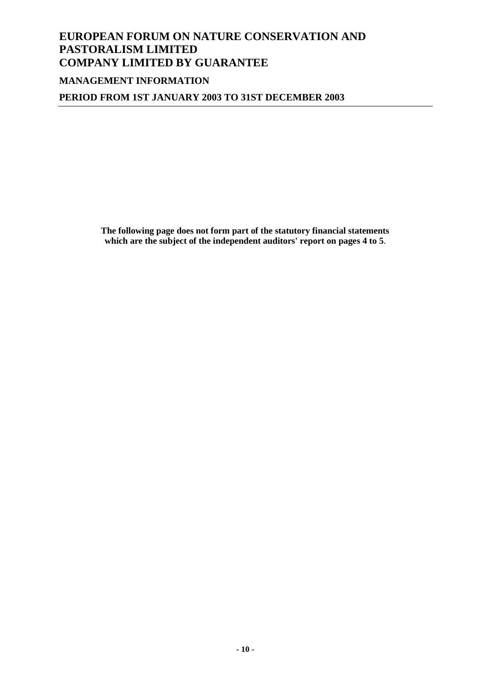## **MANAGEMENT INFORMATION**

**PERIOD FROM 1ST JANUARY 2003 TO 31ST DECEMBER 2003**

**The following page does not form part of the statutory financial statements which are the subject of the independent auditors' report on pages 4 to 5**.